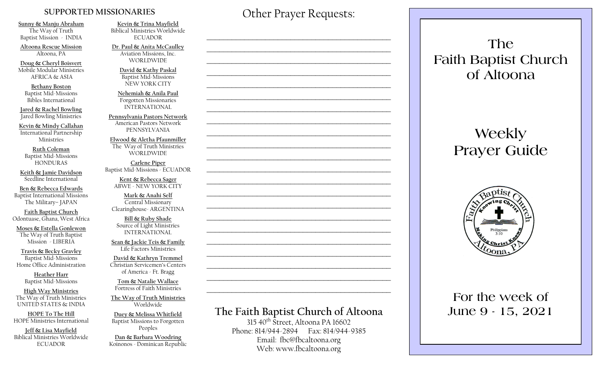#### **SUPPORTED MISSIONARIES**

**Sunny & Manju Abraham**  The Way of Truth Baptist Mission - INDIA

**Altoona Rescue Mission** Altoona, PA

**Doug & Cheryl Boisvert** Mobile Modular Ministries AFRICA & ASIA

**Bethany Boston** Baptist Mid-Missions Bibles International

**Jared & Rachel Bowling** Jared Bowling Ministries

**Kevin & Mindy Callahan** International Partnership Ministries

**Ruth Coleman** Baptist Mid-Missions HONDURAS

**Keith & Jamie Davidson** Seedline International

**Ben & Rebecca Edwards** Baptist International Missions The Military– JAPAN

**Faith Baptist Church** Odontuase, Ghana, West Africa

**Moses & Estella Gonlewon** The Way of Truth Baptist Mission - LIBERIA

**Travis & Becky Gravley**  Baptist Mid-Missions Home Office Administration

> **Heather Harr** Baptist Mid-Missions

**High Way Ministries** The Way of Truth Ministries UNITED STATES & INDIA

**HOPE To The Hill** HOPE Ministries International

**Jeff & Lisa Mayfield** Biblical Ministries Worldwide **ECUADOR** 

**Kevin & Trina Mayfield** Biblical Ministries Worldwide ECUADOR

**Dr. Paul & Anita McCaulley** Aviation Missions, Inc. WORLDWIDE

> **David & Kathy Paskal** Baptist Mid-Missions NEW YORK CITY

**Nehemiah & Anila Paul** Forgotten Missionaries INTERNATIONAL

**Pennsylvania Pastors Network** American Pastors Network PENNSYLVANIA

**Elwood & Aletha Pfaunmiller** The Way of Truth Ministries WORLDWIDE

**Carlene Piper** Baptist Mid-Missions - ECUADOR

> **Kent & Rebecca Sager** ABWE - NEW YORK CITY

**Mark & Anahi Self** Central Missionary Clearinghouse- ARGENTINA

**Bill & Ruby Shade** Source of Light Ministries INTERNATIONAL

**Sean & Jackie Teis & Family** Life Factors Ministries

**David & Kathryn Tremmel**  Christian Servicemen's Centers of America - Ft. Bragg

**Tom & Natalie Wallace** Fortress of Faith Ministries

**The Way of Truth Ministries**  Worldwide

**Duey & Melissa Whitfield** Baptist Missions to Forgotten Peoples

**Dan & Barbara Woodring**  Koinonos - Dominican Republic Other Prayer Requests:

 $\mathcal{L}_\text{max}$  and  $\mathcal{L}_\text{max}$  and  $\mathcal{L}_\text{max}$  and  $\mathcal{L}_\text{max}$  and  $\mathcal{L}_\text{max}$ 

 $\mathcal{L}_\text{max}$  , and the contract of the contract of the contract of the contract of the contract of the contract of the contract of the contract of the contract of the contract of the contract of the contract of the contr

 $\mathcal{L}_\text{max}$  and  $\mathcal{L}_\text{max}$  and  $\mathcal{L}_\text{max}$  and  $\mathcal{L}_\text{max}$  and  $\mathcal{L}_\text{max}$ 

 $\mathcal{L}_\text{max}$  and  $\mathcal{L}_\text{max}$  and  $\mathcal{L}_\text{max}$  and  $\mathcal{L}_\text{max}$  and  $\mathcal{L}_\text{max}$ 

 $\mathcal{L}_\text{max}$  , and the contract of the contract of the contract of the contract of the contract of the contract of the contract of the contract of the contract of the contract of the contract of the contract of the contr

 $\mathcal{L}_\text{max}$  , and the contract of the contract of the contract of the contract of the contract of the contract of the contract of the contract of the contract of the contract of the contract of the contract of the contr

# **The Faith Baptist Church of Altoona**   $315\,40^{th}$  Street, Altoona PA 16602  $\mathcal{L}_\text{max}$  , and the contract of the contract of the contract of the contract of the contract of the contract of the contract of the contract of the contract of the contract of the contract of the contract of the contr  $\mathcal{L}_\text{max}$  and  $\mathcal{L}_\text{max}$  and  $\mathcal{L}_\text{max}$  and  $\mathcal{L}_\text{max}$  and  $\mathcal{L}_\text{max}$  $\mathcal{L}_\text{max}$  , and the contract of the contract of the contract of the contract of the contract of the contract of the contract of the contract of the contract of the contract of the contract of the contract of the contr  $\mathcal{L}_\text{max}$  , and the contract of the contract of the contract of the contract of the contract of the contract of the contract of the contract of the contract of the contract of the contract of the contract of the contr  $\mathcal{L}_\text{max}$  , and the contract of the contract of the contract of the contract of the contract of the contract of the contract of the contract of the contract of the contract of the contract of the contract of the contr  $\mathcal{L}_\text{max}$  , and the contract of the contract of the contract of the contract of the contract of the contract of the contract of the contract of the contract of the contract of the contract of the contract of the contr  $\mathcal{L}_\text{max}$  and  $\mathcal{L}_\text{max}$  and  $\mathcal{L}_\text{max}$  and  $\mathcal{L}_\text{max}$  and  $\mathcal{L}_\text{max}$  $\mathcal{L}_\text{max}$  , and the contract of the contract of the contract of the contract of the contract of the contract of the contract of the contract of the contract of the contract of the contract of the contract of the contr  $\mathcal{L}_\text{max}$  , and the contract of the contract of the contract of the contract of the contract of the contract of the contract of the contract of the contract of the contract of the contract of the contract of the contr

Phone: 814/944-2894 Fax: 814/944-9385 Email: fbc@fbcaltoona.org Web: www.fbcaltoona.org

# **The Faith Baptist Church of Altoona**

# **Weekly Prayer Guide**



# **For the week of June 9 - 15, 2021**